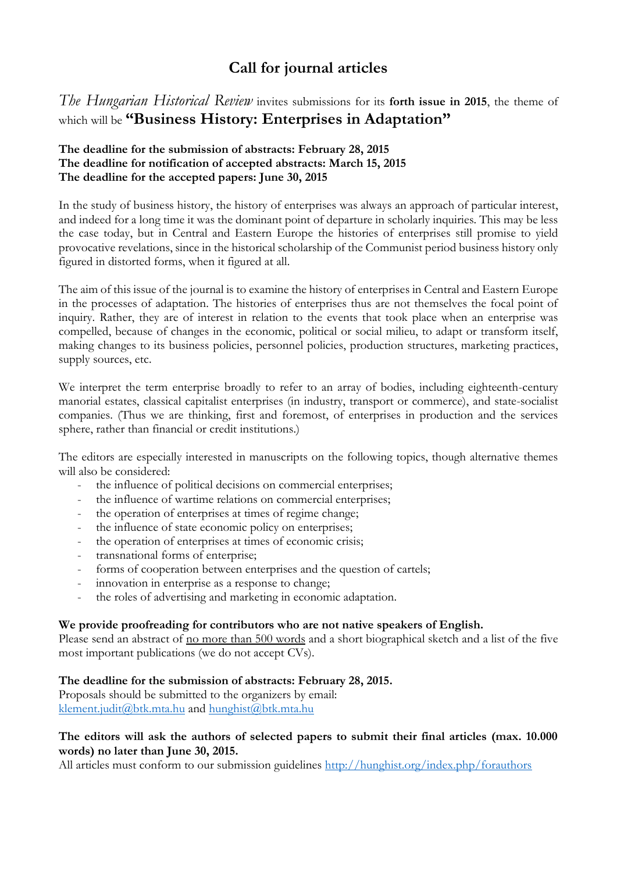# **Call for journal articles**

*The Hungarian Historical Review* invites submissions for its **forth issue in 2015**, the theme of which will be **"Business History: Enterprises in Adaptation"**

## **The deadline for the submission of abstracts: February 28, 2015 The deadline for notification of accepted abstracts: March 15, 2015 The deadline for the accepted papers: June 30, 2015**

In the study of business history, the history of enterprises was always an approach of particular interest, and indeed for a long time it was the dominant point of departure in scholarly inquiries. This may be less the case today, but in Central and Eastern Europe the histories of enterprises still promise to yield provocative revelations, since in the historical scholarship of the Communist period business history only figured in distorted forms, when it figured at all.

The aim of this issue of the journal is to examine the history of enterprises in Central and Eastern Europe in the processes of adaptation. The histories of enterprises thus are not themselves the focal point of inquiry. Rather, they are of interest in relation to the events that took place when an enterprise was compelled, because of changes in the economic, political or social milieu, to adapt or transform itself, making changes to its business policies, personnel policies, production structures, marketing practices, supply sources, etc.

We interpret the term enterprise broadly to refer to an array of bodies, including eighteenth-century manorial estates, classical capitalist enterprises (in industry, transport or commerce), and state-socialist companies. (Thus we are thinking, first and foremost, of enterprises in production and the services sphere, rather than financial or credit institutions.)

The editors are especially interested in manuscripts on the following topics, though alternative themes will also be considered:

- the influence of political decisions on commercial enterprises;
- the influence of wartime relations on commercial enterprises;
- the operation of enterprises at times of regime change;
- the influence of state economic policy on enterprises;
- the operation of enterprises at times of economic crisis;
- transnational forms of enterprise;
- forms of cooperation between enterprises and the question of cartels;
- innovation in enterprise as a response to change;
- the roles of advertising and marketing in economic adaptation.

#### **We provide proofreading for contributors who are not native speakers of English.**

Please send an abstract of <u>no more than 500 words</u> and a short biographical sketch and a list of the five most important publications (we do not accept CVs).

#### **The deadline for the submission of abstracts: February 28, 2015.**

Proposals should be submitted to the organizers by email: [klement.judit@btk.mta.hu](mailto:klement.judit@btk.mta.hu) and [hunghist@btk.mta.hu](mailto:hunghist@btk.mta.hu)

## **The editors will ask the authors of selected papers to submit their final articles (max. 10.000 words) no later than June 30, 2015.**

All articles must conform to our submission guidelines<http://hunghist.org/index.php/forauthors>